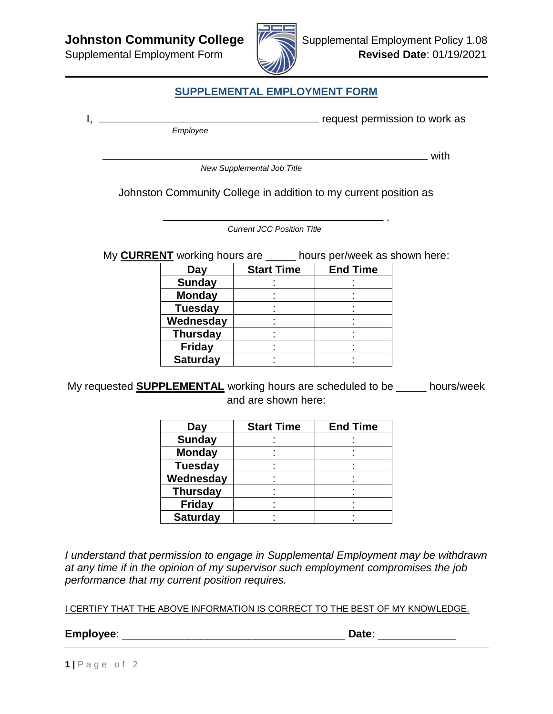

## **SUPPLEMENTAL EMPLOYMENT FORM**

 *Employee*

I, request permission to work as

.

with

 *New Supplemental Job Title*

Johnston Community College in addition to my current position as

*Current JCC Position Title*

My **CURRENT** working hours are \_\_\_\_\_ hours per/week as shown here:

| Day             | <b>Start Time</b> | <b>End Time</b> |
|-----------------|-------------------|-----------------|
| <b>Sunday</b>   |                   |                 |
| <b>Monday</b>   |                   |                 |
| <b>Tuesday</b>  |                   |                 |
| Wednesday       |                   |                 |
| <b>Thursday</b> |                   |                 |
| <b>Friday</b>   |                   |                 |
| <b>Saturday</b> |                   |                 |

My requested **SUPPLEMENTAL** working hours are scheduled to be \_\_\_\_\_ hours/week and are shown here:

| Day             | <b>Start Time</b> | <b>End Time</b> |
|-----------------|-------------------|-----------------|
| <b>Sunday</b>   |                   |                 |
| <b>Monday</b>   |                   |                 |
| <b>Tuesday</b>  |                   |                 |
| Wednesday       |                   |                 |
| <b>Thursday</b> |                   |                 |
| <b>Friday</b>   |                   |                 |
| <b>Saturday</b> |                   |                 |

*I understand that permission to engage in Supplemental Employment may be withdrawn at any time if in the opinion of my supervisor such employment compromises the job performance that my current position requires.*

I CERTIFY THAT THE ABOVE INFORMATION IS CORRECT TO THE BEST OF MY KNOWLEDGE.

**Employee**: \_\_\_\_\_\_\_\_\_\_\_\_\_\_\_\_\_\_\_\_\_\_\_\_\_\_\_\_\_\_\_\_\_\_\_\_\_ **Date**: \_\_\_\_\_\_\_\_\_\_\_\_\_